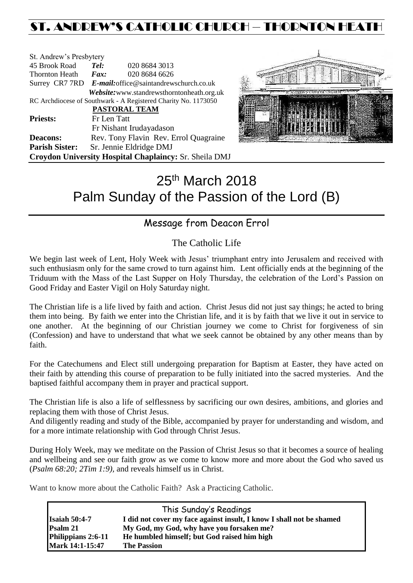# ST. ANDREW'S CATHOLIC CHURCH – THORNTON HEATH

| St. Andrew's Presbytery                                        |                              |                                                        |  |  |
|----------------------------------------------------------------|------------------------------|--------------------------------------------------------|--|--|
| 45 Brook Road                                                  | Tel:                         | 020 8684 3013                                          |  |  |
| <b>Thornton Heath</b>                                          | $\boldsymbol{F}$ <i>ax</i> : | 020 8684 6626                                          |  |  |
|                                                                |                              | Surrey CR7 7RD E-mail: office@saintandrewschurch.co.uk |  |  |
|                                                                |                              | Website: www.standrewsthorntonheath.org.uk             |  |  |
| RC Archdiocese of Southwark - A Registered Charity No. 1173050 |                              |                                                        |  |  |
| <b>PASTORAL TEAM</b>                                           |                              |                                                        |  |  |
| <b>Priests:</b>                                                | Fr Len Tatt                  |                                                        |  |  |
|                                                                |                              | Fr Nishant Irudayadason                                |  |  |
| <b>Deacons:</b>                                                |                              | Rev. Tony Flavin Rev. Errol Quagraine                  |  |  |
| <b>Parish Sister:</b>                                          |                              | Sr. Jennie Eldridge DMJ                                |  |  |
| <b>Croydon University Hospital Chaplaincy: Sr. Sheila DMJ</b>  |                              |                                                        |  |  |



# 25<sup>th</sup> March 2018 Palm Sunday of the Passion of the Lord (B)

## Message from Deacon Errol

### The Catholic Life

We begin last week of Lent, Holy Week with Jesus' triumphant entry into Jerusalem and received with such enthusiasm only for the same crowd to turn against him. Lent officially ends at the beginning of the Triduum with the Mass of the Last Supper on Holy Thursday, the celebration of the Lord's Passion on Good Friday and Easter Vigil on Holy Saturday night.

The Christian life is a life lived by faith and action. Christ Jesus did not just say things; he acted to bring them into being. By faith we enter into the Christian life, and it is by faith that we live it out in service to one another. At the beginning of our Christian journey we come to Christ for forgiveness of sin (Confession) and have to understand that what we seek cannot be obtained by any other means than by faith.

For the Catechumens and Elect still undergoing preparation for Baptism at Easter, they have acted on their faith by attending this course of preparation to be fully initiated into the sacred mysteries. And the baptised faithful accompany them in prayer and practical support.

The Christian life is also a life of selflessness by sacrificing our own desires, ambitions, and glories and replacing them with those of Christ Jesus.

And diligently reading and study of the Bible, accompanied by prayer for understanding and wisdom, and for a more intimate relationship with God through Christ Jesus.

During Holy Week, may we meditate on the Passion of Christ Jesus so that it becomes a source of healing and wellbeing and see our faith grow as we come to know more and more about the God who saved us (*Psalm 68:20; 2Tim 1:9),* and reveals himself us in Christ.

Want to know more about the Catholic Faith? Ask a Practicing Catholic.

| This Sunday's Readings |                                                                      |  |  |  |
|------------------------|----------------------------------------------------------------------|--|--|--|
| <b>Isaiah 50:4-7</b>   | I did not cover my face against insult, I know I shall not be shamed |  |  |  |
| <b>Psalm 21</b>        | My God, my God, why have you forsaken me?                            |  |  |  |
| Philippians 2:6-11     | He humbled himself; but God raised him high                          |  |  |  |
| Mark 14:1-15:47        | <b>The Passion</b>                                                   |  |  |  |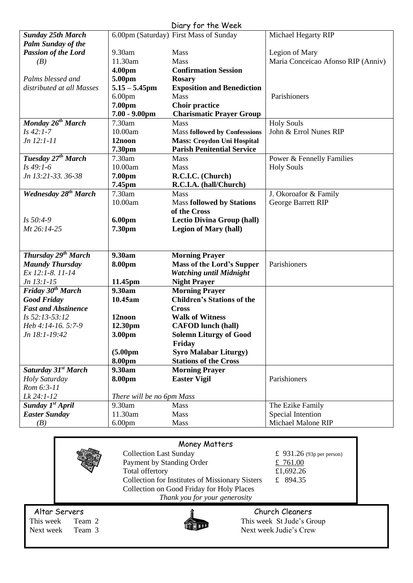|                                 |                           | Diary for the Week                     |                                    |
|---------------------------------|---------------------------|----------------------------------------|------------------------------------|
| <b>Sunday 25th March</b>        |                           | 6.00pm (Saturday) First Mass of Sunday | Michael Hegarty RIP                |
| <b>Palm Sunday of the</b>       |                           |                                        |                                    |
| <b>Passion of the Lord</b>      | 9.30am                    | Mass                                   | Legion of Mary                     |
| (B)                             | 11.30am                   | <b>Mass</b>                            | Maria Conceicao Afonso RIP (Anniv) |
|                                 | 4.00pm                    | <b>Confirmation Session</b>            |                                    |
| Palms blessed and               | 5.00pm                    | <b>Rosary</b>                          |                                    |
| distributed at all Masses       | $5.15 - 5.45$ pm          | <b>Exposition and Benediction</b>      |                                    |
|                                 | 6.00 <sub>pm</sub>        | Mass                                   | Parishioners                       |
|                                 | 7.00pm                    | <b>Choir practice</b>                  |                                    |
|                                 | $7.00 - 9.00$ pm          | <b>Charismatic Prayer Group</b>        |                                    |
| Monday 26 <sup>th</sup> March   | 7.30am                    | Mass                                   | <b>Holy Souls</b>                  |
| $Is 42:1-7$                     | 10.00am                   | <b>Mass followed by Confesssions</b>   | John & Errol Nunes RIP             |
| $Jn 12:1-11$                    | 12noon                    | <b>Mass: Croydon Uni Hospital</b>      |                                    |
|                                 | 7.30pm                    | <b>Parish Penitential Service</b>      |                                    |
| Tuesday 27 <sup>th</sup> March  | 7.30am                    | Mass                                   | Power & Fennelly Families          |
| $Is 49:1-6$                     | 10.00am                   | Mass                                   | <b>Holy Souls</b>                  |
| Jn 13:21-33. 36-38              | 7.00pm                    | R.C.I.C. (Church)                      |                                    |
|                                 | 7.45pm                    | R.C.I.A. (hall/Church)                 |                                    |
| <b>Wednesday 28th March</b>     | 7.30am                    | Mass                                   | J. Okoroafor & Family              |
|                                 | 10.00am                   | <b>Mass followed by Stations</b>       | George Barrett RIP                 |
|                                 |                           | of the Cross                           |                                    |
| $Is 50:4-9$                     | 6.00pm                    | <b>Lectio Divina Group (hall)</b>      |                                    |
| Mt 26:14-25                     | 7.30pm                    | <b>Legion of Mary (hall)</b>           |                                    |
|                                 |                           |                                        |                                    |
| Thursday 29 <sup>th</sup> March | 9.30am                    | <b>Morning Prayer</b>                  |                                    |
| <b>Maundy Thursday</b>          | 8.00pm                    | <b>Mass of the Lord's Supper</b>       | Parishioners                       |
| Ex 12:1-8. 11-14                |                           | <b>Watching until Midnight</b>         |                                    |
| Jn 13:1-15                      | 11.45pm                   | <b>Night Prayer</b>                    |                                    |
| Friday $30th March$             | 9.30am                    | <b>Morning Prayer</b>                  |                                    |
| <b>Good Friday</b>              | 10.45am                   | <b>Children's Stations of the</b>      |                                    |
| <b>Fast and Abstinence</b>      |                           | <b>Cross</b>                           |                                    |
| Is 52:13-53:12                  | 12noon                    | <b>Walk of Witness</b>                 |                                    |
| Heb 4:14-16. 5:7-9              | 12.30pm                   | <b>CAFOD</b> lunch (hall)              |                                    |
| Jn 18:1-19:42                   | 3.00pm                    | <b>Solemn Liturgy of Good</b>          |                                    |
|                                 |                           | Friday                                 |                                    |
|                                 | (5.00 <sub>pm</sub> )     | <b>Syro Malabar Liturgy)</b>           |                                    |
|                                 | 8.00pm                    | <b>Stations of the Cross</b>           |                                    |
| Saturday 31 <sup>st</sup> March | 9.30am                    | <b>Morning Prayer</b>                  |                                    |
| Holy Saturday                   | 8.00pm                    | <b>Easter Vigil</b>                    | Parishioners                       |
| Rom 6:3-11                      |                           |                                        |                                    |
| Lk 24:1-12                      | There will be no 6pm Mass |                                        |                                    |
| Sunday 1 <sup>st</sup> April    | 9.30am                    | Mass                                   | The Ezike Family                   |
| <b>Easter Sunday</b>            | 11.30am                   | Mass                                   | Special Intention                  |
| (B)                             | 6.00 <sub>pm</sub>        | Mass                                   | Michael Malone RIP                 |
|                                 |                           |                                        |                                    |

|               |        | Money Matters                                          |                             |  |  |  |
|---------------|--------|--------------------------------------------------------|-----------------------------|--|--|--|
|               |        | <b>Collection Last Sunday</b>                          | £ $931.26$ (93p per person) |  |  |  |
|               |        | Payment by Standing Order                              | £ $761.00$                  |  |  |  |
|               |        | Total offertory                                        | £1,692.26                   |  |  |  |
|               |        | <b>Collection for Institutes of Missionary Sisters</b> | £ 894.35                    |  |  |  |
|               |        | Collection on Good Friday for Holy Places              |                             |  |  |  |
|               |        | Thank you for your generosity                          |                             |  |  |  |
| Altar Servers |        |                                                        | Church Cleaners             |  |  |  |
| This week     | Team 2 |                                                        | This week St Jude's Group   |  |  |  |
| Next week     | Team 3 |                                                        | Next week Judie's Crew      |  |  |  |

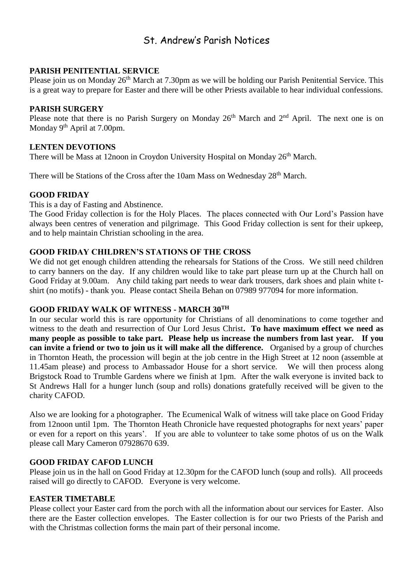## St. Andrew's Parish Notices

#### **PARISH PENITENTIAL SERVICE**

Please join us on Monday 26<sup>th</sup> March at 7.30pm as we will be holding our Parish Penitential Service. This is a great way to prepare for Easter and there will be other Priests available to hear individual confessions.

#### **PARISH SURGERY**

Please note that there is no Parish Surgery on Monday 26<sup>th</sup> March and 2<sup>nd</sup> April. The next one is on Monday 9<sup>th</sup> April at 7.00pm.

#### **LENTEN DEVOTIONS**

There will be Mass at 12noon in Croydon University Hospital on Monday 26<sup>th</sup> March.

There will be Stations of the Cross after the 10am Mass on Wednesday 28<sup>th</sup> March.

#### **GOOD FRIDAY**

This is a day of Fasting and Abstinence.

The Good Friday collection is for the Holy Places. The places connected with Our Lord's Passion have always been centres of veneration and pilgrimage. This Good Friday collection is sent for their upkeep, and to help maintain Christian schooling in the area.

#### **GOOD FRIDAY CHILDREN'S STATIONS OF THE CROSS**

We did not get enough children attending the rehearsals for Stations of the Cross. We still need children to carry banners on the day. If any children would like to take part please turn up at the Church hall on Good Friday at 9.00am. Any child taking part needs to wear dark trousers, dark shoes and plain white tshirt (no motifs) - thank you. Please contact Sheila Behan on 07989 977094 for more information.

#### **GOOD FRIDAY WALK OF WITNESS - MARCH 30TH**

In our secular world this is rare opportunity for Christians of all denominations to come together and witness to the death and resurrection of Our Lord Jesus Christ**. To have maximum effect we need as many people as possible to take part. Please help us increase the numbers from last year. If you can invite a friend or two to join us it will make all the difference.** Organised by a group of churches in Thornton Heath, the procession will begin at the job centre in the High Street at 12 noon (assemble at 11.45am please) and process to Ambassador House for a short service. We will then process along Brigstock Road to Trumble Gardens where we finish at 1pm. After the walk everyone is invited back to St Andrews Hall for a hunger lunch (soup and rolls) donations gratefully received will be given to the charity CAFOD.

Also we are looking for a photographer. The Ecumenical Walk of witness will take place on Good Friday from 12noon until 1pm. The Thornton Heath Chronicle have requested photographs for next years' paper or even for a report on this years'. If you are able to volunteer to take some photos of us on the Walk please call Mary Cameron 07928670 639.

#### **GOOD FRIDAY CAFOD LUNCH**

Please join us in the hall on Good Friday at 12.30pm for the CAFOD lunch (soup and rolls). All proceeds raised will go directly to CAFOD. Everyone is very welcome.

#### **EASTER TIMETABLE**

Please collect your Easter card from the porch with all the information about our services for Easter. Also there are the Easter collection envelopes. The Easter collection is for our two Priests of the Parish and with the Christmas collection forms the main part of their personal income.